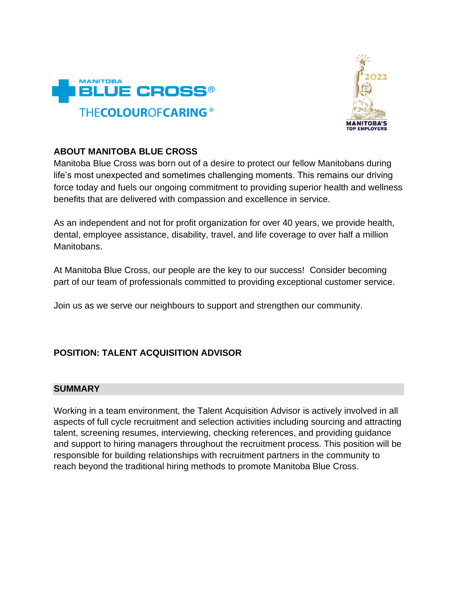



## **ABOUT MANITOBA BLUE CROSS**

Manitoba Blue Cross was born out of a desire to protect our fellow Manitobans during life's most unexpected and sometimes challenging moments. This remains our driving force today and fuels our ongoing commitment to providing superior health and wellness benefits that are delivered with compassion and excellence in service.

As an independent and not for profit organization for over 40 years, we provide health, dental, employee assistance, disability, travel, and life coverage to over half a million Manitobans.

At Manitoba Blue Cross, our people are the key to our success! Consider becoming part of our team of professionals committed to providing exceptional customer service.

Join us as we serve our neighbours to support and strengthen our community.

## **POSITION: TALENT ACQUISITION ADVISOR**

## **SUMMARY**

Working in a team environment, the Talent Acquisition Advisor is actively involved in all aspects of full cycle recruitment and selection activities including sourcing and attracting talent, screening resumes, interviewing, checking references, and providing guidance and support to hiring managers throughout the recruitment process. This position will be responsible for building relationships with recruitment partners in the community to reach beyond the traditional hiring methods to promote Manitoba Blue Cross.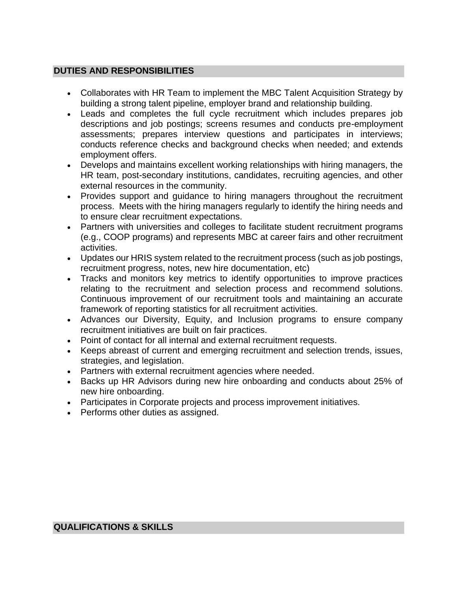## **DUTIES AND RESPONSIBILITIES**

- Collaborates with HR Team to implement the MBC Talent Acquisition Strategy by building a strong talent pipeline, employer brand and relationship building.
- Leads and completes the full cycle recruitment which includes prepares job descriptions and job postings; screens resumes and conducts pre-employment assessments; prepares interview questions and participates in interviews; conducts reference checks and background checks when needed; and extends employment offers.
- Develops and maintains excellent working relationships with hiring managers, the HR team, post-secondary institutions, candidates, recruiting agencies, and other external resources in the community.
- Provides support and guidance to hiring managers throughout the recruitment process. Meets with the hiring managers regularly to identify the hiring needs and to ensure clear recruitment expectations.
- Partners with universities and colleges to facilitate student recruitment programs (e.g., COOP programs) and represents MBC at career fairs and other recruitment activities.
- Updates our HRIS system related to the recruitment process (such as job postings, recruitment progress, notes, new hire documentation, etc)
- Tracks and monitors key metrics to identify opportunities to improve practices relating to the recruitment and selection process and recommend solutions. Continuous improvement of our recruitment tools and maintaining an accurate framework of reporting statistics for all recruitment activities.
- Advances our Diversity, Equity, and Inclusion programs to ensure company recruitment initiatives are built on fair practices.
- Point of contact for all internal and external recruitment requests.
- Keeps abreast of current and emerging recruitment and selection trends, issues, strategies, and legislation.
- Partners with external recruitment agencies where needed.
- Backs up HR Advisors during new hire onboarding and conducts about 25% of new hire onboarding.
- Participates in Corporate projects and process improvement initiatives.
- Performs other duties as assigned.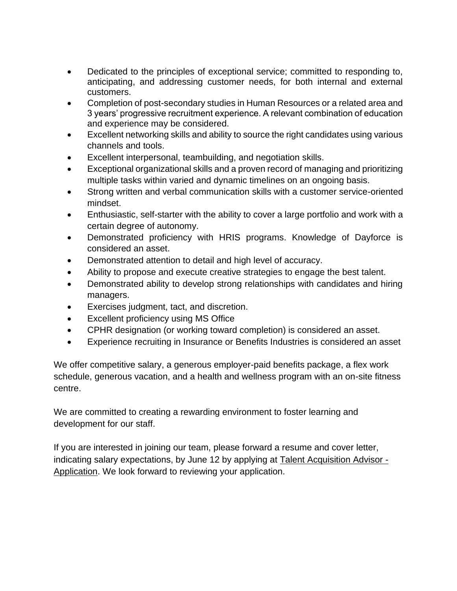- Dedicated to the principles of exceptional service; committed to responding to, anticipating, and addressing customer needs, for both internal and external customers.
- Completion of post-secondary studies in Human Resources or a related area and 3 years' progressive recruitment experience. A relevant combination of education and experience may be considered.
- Excellent networking skills and ability to source the right candidates using various channels and tools.
- Excellent interpersonal, teambuilding, and negotiation skills.
- Exceptional organizational skills and a proven record of managing and prioritizing multiple tasks within varied and dynamic timelines on an ongoing basis.
- Strong written and verbal communication skills with a customer service-oriented mindset.
- Enthusiastic, self-starter with the ability to cover a large portfolio and work with a certain degree of autonomy.
- Demonstrated proficiency with HRIS programs. Knowledge of Dayforce is considered an asset.
- Demonstrated attention to detail and high level of accuracy.
- Ability to propose and execute creative strategies to engage the best talent.
- Demonstrated ability to develop strong relationships with candidates and hiring managers.
- Exercises judgment, tact, and discretion.
- Excellent proficiency using MS Office
- CPHR designation (or working toward completion) is considered an asset.
- Experience recruiting in Insurance or Benefits Industries is considered an asset

We offer competitive salary, a generous employer-paid benefits package, a flex work schedule, generous vacation, and a health and wellness program with an on-site fitness centre.

We are committed to creating a rewarding environment to foster learning and development for our staff.

If you are interested in joining our team, please forward a resume and cover letter, indicating salary expectations, by June 12 by applying at [Talent Acquisition Advisor -](https://can62e2.dayforcehcm.com/CandidatePortal/en-US/bluerewards/Posting/View/592) [Application.](https://can62e2.dayforcehcm.com/CandidatePortal/en-US/bluerewards/Posting/View/592) We look forward to reviewing your application.